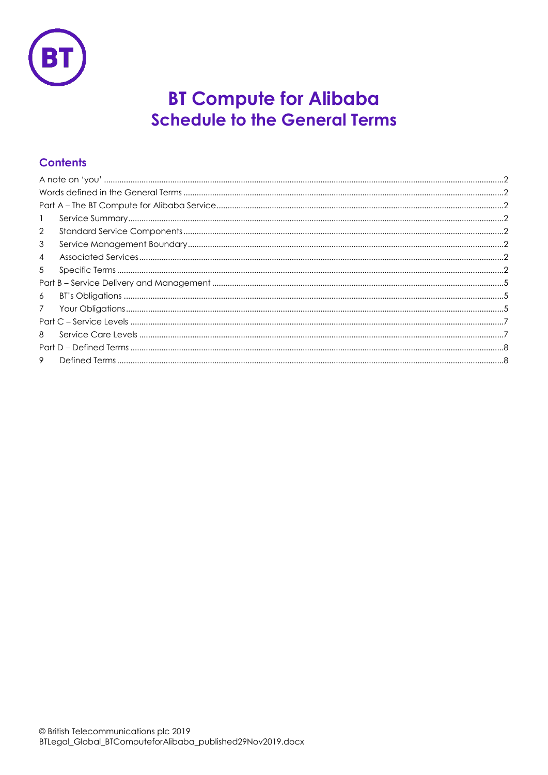

# **BT Compute for Alibaba Schedule to the General Terms**

# **Contents**

| 1               |  |  |
|-----------------|--|--|
| 2               |  |  |
| 3               |  |  |
| $\overline{4}$  |  |  |
| 5               |  |  |
|                 |  |  |
| 6               |  |  |
| $7\overline{ }$ |  |  |
|                 |  |  |
| 8               |  |  |
|                 |  |  |
| 9               |  |  |
|                 |  |  |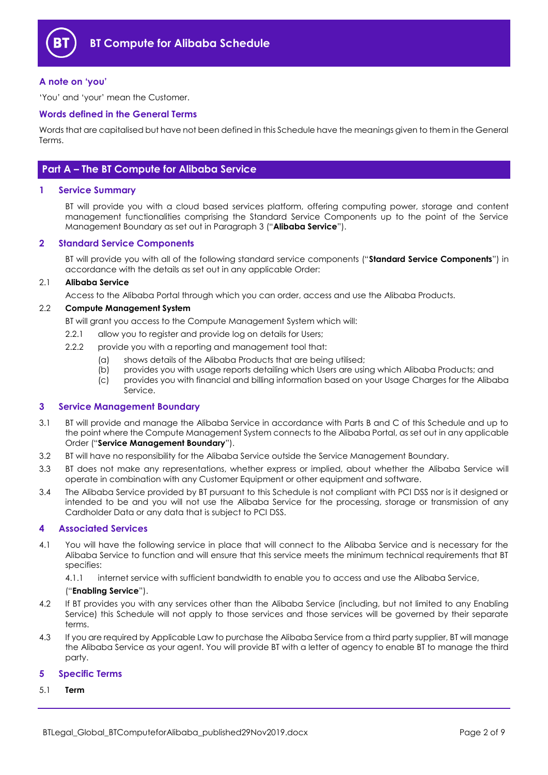

#### <span id="page-1-0"></span>**A note on 'you'**

'You' and 'your' mean the Customer.

#### <span id="page-1-1"></span>**Words defined in the General Terms**

Words that are capitalised but have not been defined in this Schedule have the meanings given to them in the General Terms.

## <span id="page-1-2"></span>**Part A – The BT Compute for Alibaba Service**

#### <span id="page-1-3"></span>**1 Service Summary**

BT will provide you with a cloud based services platform, offering computing power, storage and content management functionalities comprising the Standard Service Components up to the point of the Service Management Boundary as set out in Paragrap[h 3](#page-1-5) ("**Alibaba Service**").

#### <span id="page-1-4"></span>**2 Standard Service Components**

BT will provide you with all of the following standard service components ("**Standard Service Components**") in accordance with the details as set out in any applicable Order:

#### 2.1 **Alibaba Service**

Access to the Alibaba Portal through which you can order, access and use the Alibaba Products.

#### <span id="page-1-8"></span>2.2 **Compute Management System**

BT will grant you access to the Compute Management System which will:

- 2.2.1 allow you to register and provide log on details for Users;
- 2.2.2 provide you with a reporting and management tool that:
	- (a) shows details of the Alibaba Products that are being utilised;
	- (b) provides you with usage reports detailing which Users are using which Alibaba Products; and
	- (c) provides you with financial and billing information based on your Usage Charges for the Alibaba Service.

#### <span id="page-1-5"></span>**3 Service Management Boundary**

- <span id="page-1-10"></span>3.1 BT will provide and manage the Alibaba Service in accordance with Parts B and C of this Schedule and up to the point where the Compute Management System connects to the Alibaba Portal, as set out in any applicable Order ("**Service Management Boundary**").
- 3.2 BT will have no responsibility for the Alibaba Service outside the Service Management Boundary.
- 3.3 BT does not make any representations, whether express or implied, about whether the Alibaba Service will operate in combination with any Customer Equipment or other equipment and software.
- 3.4 The Alibaba Service provided by BT pursuant to this Schedule is not compliant with PCI DSS nor is it designed or intended to be and you will not use the Alibaba Service for the processing, storage or transmission of any Cardholder Data or any data that is subject to PCI DSS.

#### <span id="page-1-6"></span>**4 Associated Services**

4.1 You will have the following service in place that will connect to the Alibaba Service and is necessary for the Alibaba Service to function and will ensure that this service meets the minimum technical requirements that BT specifies:

4.1.1 internet service with sufficient bandwidth to enable you to access and use the Alibaba Service,

#### ("**Enabling Service**").

- <span id="page-1-9"></span>4.2 If BT provides you with any services other than the Alibaba Service (including, but not limited to any Enabling Service) this Schedule will not apply to those services and those services will be governed by their separate terms.
- 4.3 If you are required by Applicable Law to purchase the Alibaba Service from a third party supplier, BT will manage the Alibaba Service as your agent. You will provide BT with a letter of agency to enable BT to manage the third party.

#### <span id="page-1-7"></span>**5 Specific Terms**

<span id="page-1-11"></span>5.1 **Term**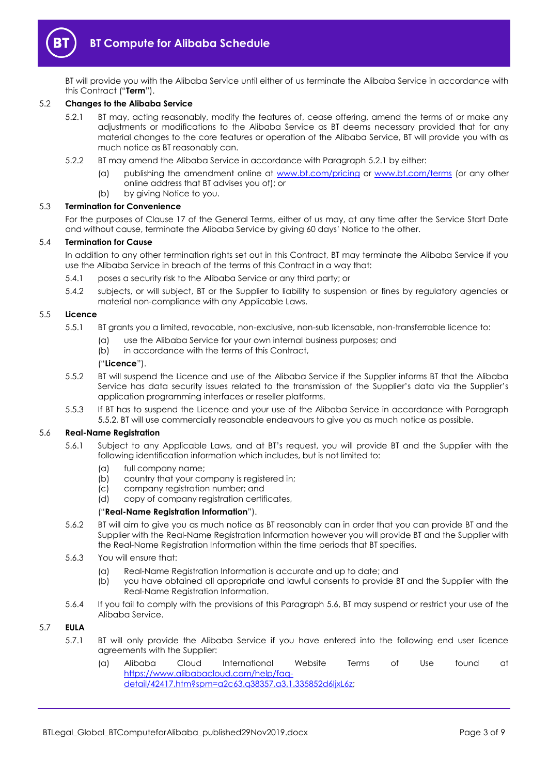

BT will provide you with the Alibaba Service until either of us terminate the Alibaba Service in accordance with this Contract ("**Term**").

#### <span id="page-2-0"></span>5.2 **Changes to the Alibaba Service**

- 5.2.1 BT may, acting reasonably, modify the features of, cease offering, amend the terms of or make any adjustments or modifications to the Alibaba Service as BT deems necessary provided that for any material changes to the core features or operation of the Alibaba Service, BT will provide you with as much notice as BT reasonably can.
- 5.2.2 BT may amend the Alibaba Service in accordance with Paragraph [5.2.1](#page-2-0) by either:
	- publishing the amendment online at [www.bt.com/pricing](http://www.bt.com/pricing) or [www.bt.com/terms](http://www.bt.com/terms) (or any other online address that BT advises you of); or
	- (b) by giving Notice to you.

#### 5.3 **Termination for Convenience**

For the purposes of Clause 17 of the General Terms, either of us may, at any time after the Service Start Date and without cause, terminate the Alibaba Service by giving 60 days' Notice to the other.

#### 5.4 **Termination for Cause**

In addition to any other termination rights set out in this Contract, BT may terminate the Alibaba Service if you use the Alibaba Service in breach of the terms of this Contract in a way that:

- 5.4.1 poses a security risk to the Alibaba Service or any third party; or
- 5.4.2 subjects, or will subject, BT or the Supplier to liability to suspension or fines by regulatory agencies or material non-compliance with any Applicable Laws.

#### <span id="page-2-4"></span>5.5 **Licence**

- 5.5.1 BT grants you a limited, revocable, non-exclusive, non-sub licensable, non-transferrable licence to:
	- (a) use the Alibaba Service for your own internal business purposes; and
		- (b) in accordance with the terms of this Contract,

#### ("**Licence**").

- <span id="page-2-1"></span>5.5.2 BT will suspend the Licence and use of the Alibaba Service if the Supplier informs BT that the Alibaba Service has data security issues related to the transmission of the Supplier's data via the Supplier's application programming interfaces or reseller platforms.
- 5.5.3 If BT has to suspend the Licence and your use of the Alibaba Service in accordance with Paragraph [5.5.2,](#page-2-1) BT will use commercially reasonable endeavours to give you as much notice as possible.

#### <span id="page-2-5"></span><span id="page-2-2"></span>5.6 **Real-Name Registration**

- 5.6.1 Subject to any Applicable Laws, and at BT's request, you will provide BT and the Supplier with the following identification information which includes, but is not limited to:
	- (a) full company name;
	- (b) country that your company is registered in;
	- (c) company registration number; and
	- (d) copy of company registration certificates,

#### ("**Real-Name Registration Information**").

- 5.6.2 BT will aim to give you as much notice as BT reasonably can in order that you can provide BT and the Supplier with the Real-Name Registration Information however you will provide BT and the Supplier with the Real-Name Registration Information within the time periods that BT specifies.
- 5.6.3 You will ensure that:
	- (a) Real-Name Registration Information is accurate and up to date; and
	- (b) you have obtained all appropriate and lawful consents to provide BT and the Supplier with the Real-Name Registration Information.
- 5.6.4 If you fail to comply with the provisions of this Paragraph [5.6,](#page-2-2) BT may suspend or restrict your use of the Alibaba Service.

#### <span id="page-2-3"></span>5.7 **EULA**

- 5.7.1 BT will only provide the Alibaba Service if you have entered into the following end user licence agreements with the Supplier:
	- (a) Alibaba Cloud International Website Terms of Use found at [https://www.alibabacloud.com/help/faq](https://www.alibabacloud.com/help/faq-detail/42417.htm?spm=a2c63.q38357.a3.1.335852d6IjxL6z)[detail/42417.htm?spm=a2c63.q38357.a3.1.335852d6IjxL6z;](https://www.alibabacloud.com/help/faq-detail/42417.htm?spm=a2c63.q38357.a3.1.335852d6IjxL6z)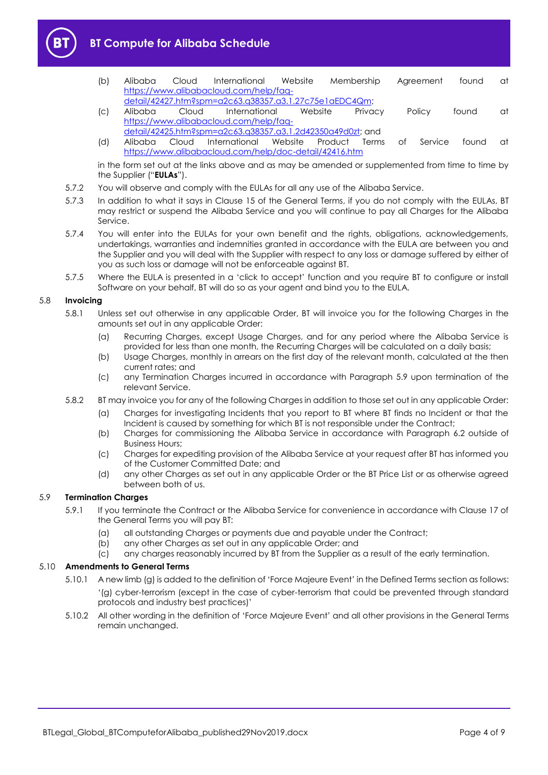



- (b) Alibaba Cloud International Website Membership Agreement found at [https://www.alibabacloud.com/help/faq](https://www.alibabacloud.com/help/faq-detail/42427.htm?spm=a2c63.q38357.a3.1.27c75e1aEDC4Qm)[detail/42427.htm?spm=a2c63.q38357.a3.1.27c75e1aEDC4Qm;](https://www.alibabacloud.com/help/faq-detail/42427.htm?spm=a2c63.q38357.a3.1.27c75e1aEDC4Qm)
- (c) Alibaba Cloud International Website Privacy Policy found at [https://www.alibabacloud.com/help/faq-](https://www.alibabacloud.com/help/faq-detail/42425.htm?spm=a2c63.q38357.a3.1.2d42350a49d0zt)
- [detail/42425.htm?spm=a2c63.q38357.a3.1.2d42350a49d0zt;](https://www.alibabacloud.com/help/faq-detail/42425.htm?spm=a2c63.q38357.a3.1.2d42350a49d0zt) and (d) Alibaba Cloud International Website Product Terms of Service found at <https://www.alibabacloud.com/help/doc-detail/42416.htm>

in the form set out at the links above and as may be amended or supplemented from time to time by the Supplier ("**EULAs**").

- 5.7.2 You will observe and comply with the EULAs for all any use of the Alibaba Service.
- 5.7.3 In addition to what it says in Clause 15 of the General Terms, if you do not comply with the EULAs, BT may restrict or suspend the Alibaba Service and you will continue to pay all Charges for the Alibaba Service.
- 5.7.4 You will enter into the EULAs for your own benefit and the rights, obligations, acknowledgements, undertakings, warranties and indemnities granted in accordance with the EULA are between you and the Supplier and you will deal with the Supplier with respect to any loss or damage suffered by either of you as such loss or damage will not be enforceable against BT.
- 5.7.5 Where the EULA is presented in a 'click to accept' function and you require BT to configure or install Software on your behalf, BT will do so as your agent and bind you to the EULA.

#### 5.8 **Invoicing**

- 5.8.1 Unless set out otherwise in any applicable Order, BT will invoice you for the following Charges in the amounts set out in any applicable Order:
	- (a) Recurring Charges, except Usage Charges, and for any period where the Alibaba Service is provided for less than one month, the Recurring Charges will be calculated on a daily basis;
	- (b) Usage Charges, monthly in arrears on the first day of the relevant month, calculated at the then current rates; and
	- (c) any Termination Charges incurred in accordance with Paragraph [5.9](#page-3-0) upon termination of the relevant Service.
- 5.8.2 BT may invoice you for any of the following Charges in addition to those set out in any applicable Order:
	- (a) Charges for investigating Incidents that you report to BT where BT finds no Incident or that the Incident is caused by something for which BT is not responsible under the Contract;
	- (b) Charges for commissioning the Alibaba Service in accordance with Paragraph [6.2](#page-4-3) outside of Business Hours;
	- (c) Charges for expediting provision of the Alibaba Service at your request after BT has informed you of the Customer Committed Date; and
	- (d) any other Charges as set out in any applicable Order or the BT Price List or as otherwise agreed between both of us.

### <span id="page-3-0"></span>5.9 **Termination Charges**

- 5.9.1 If you terminate the Contract or the Alibaba Service for convenience in accordance with Clause 17 of the General Terms you will pay BT:
	- (a) all outstanding Charges or payments due and payable under the Contract;
	- (b) any other Charges as set out in any applicable Order; and
	- (c) any charges reasonably incurred by BT from the Supplier as a result of the early termination.

#### 5.10 **Amendments to General Terms**

- 5.10.1 A new limb (g) is added to the definition of 'Force Majeure Event' in the Defined Terms section as follows: '(g) cyber-terrorism (except in the case of cyber-terrorism that could be prevented through standard protocols and industry best practices)'
- 5.10.2 All other wording in the definition of 'Force Majeure Event' and all other provisions in the General Terms remain unchanged.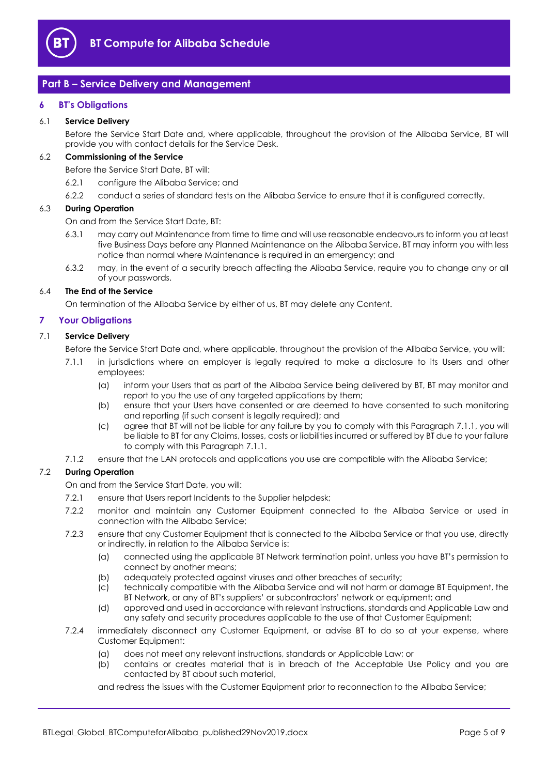

## <span id="page-4-0"></span>**Part B – Service Delivery and Management**

#### <span id="page-4-1"></span>**6 BT's Obligations**

#### 6.1 **Service Delivery**

Before the Service Start Date and, where applicable, throughout the provision of the Alibaba Service, BT will provide you with contact details for the Service Desk.

## <span id="page-4-3"></span>6.2 **Commissioning of the Service**

Before the Service Start Date, BT will:

- 6.2.1 configure the Alibaba Service; and
- 6.2.2 conduct a series of standard tests on the Alibaba Service to ensure that it is configured correctly.

#### 6.3 **During Operation**

On and from the Service Start Date, BT:

- 6.3.1 may carry out Maintenance from time to time and will use reasonable endeavours to inform you at least five Business Days before any Planned Maintenance on the Alibaba Service, BT may inform you with less notice than normal where Maintenance is required in an emergency; and
- 6.3.2 may, in the event of a security breach affecting the Alibaba Service, require you to change any or all of your passwords.

#### 6.4 **The End of the Service**

On termination of the Alibaba Service by either of us, BT may delete any Content.

#### <span id="page-4-2"></span>**7 Your Obligations**

#### <span id="page-4-4"></span>7.1 **Service Delivery**

Before the Service Start Date and, where applicable, throughout the provision of the Alibaba Service, you will:

- 7.1.1 in jurisdictions where an employer is legally required to make a disclosure to its Users and other employees:
	- (a) inform your Users that as part of the Alibaba Service being delivered by BT, BT may monitor and report to you the use of any targeted applications by them;
	- (b) ensure that your Users have consented or are deemed to have consented to such monitoring and reporting (if such consent is legally required); and
	- (c) agree that BT will not be liable for any failure by you to comply with this Paragraph [7.1.1,](#page-4-4) you will be liable to BT for any Claims, losses, costs or liabilities incurred or suffered by BT due to your failure to comply with this Paragrap[h 7.1.1.](#page-4-4)
- 7.1.2 ensure that the LAN protocols and applications you use are compatible with the Alibaba Service;

#### 7.2 **During Operation**

On and from the Service Start Date, you will:

- 7.2.1 ensure that Users report Incidents to the Supplier helpdesk;
- 7.2.2 monitor and maintain any Customer Equipment connected to the Alibaba Service or used in connection with the Alibaba Service;
- 7.2.3 ensure that any Customer Equipment that is connected to the Alibaba Service or that you use, directly or indirectly, in relation to the Alibaba Service is:
	- (a) connected using the applicable BT Network termination point, unless you have BT's permission to connect by another means;
	- (b) adequately protected against viruses and other breaches of security;
	- (c) technically compatible with the Alibaba Service and will not harm or damage BT Equipment, the BT Network, or any of BT's suppliers' or subcontractors' network or equipment; and
	- (d) approved and used in accordance with relevant instructions, standards and Applicable Law and any safety and security procedures applicable to the use of that Customer Equipment;
- 7.2.4 immediately disconnect any Customer Equipment, or advise BT to do so at your expense, where Customer Equipment:
	- (a) does not meet any relevant instructions, standards or Applicable Law; or
	- (b) contains or creates material that is in breach of the Acceptable Use Policy and you are contacted by BT about such material,

and redress the issues with the Customer Equipment prior to reconnection to the Alibaba Service;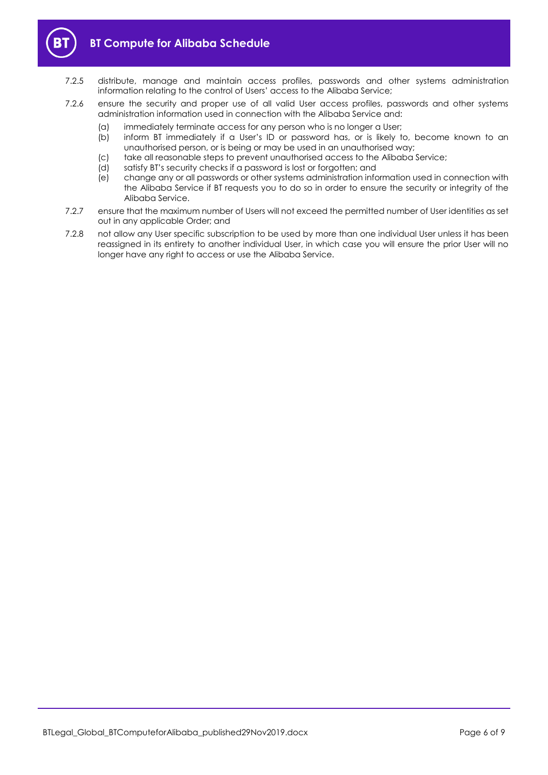

- 7.2.5 distribute, manage and maintain access profiles, passwords and other systems administration information relating to the control of Users' access to the Alibaba Service;
- 7.2.6 ensure the security and proper use of all valid User access profiles, passwords and other systems administration information used in connection with the Alibaba Service and:
	- (a) immediately terminate access for any person who is no longer a User;
	- (b) inform BT immediately if a User's ID or password has, or is likely to, become known to an unauthorised person, or is being or may be used in an unauthorised way;
	- (c) take all reasonable steps to prevent unauthorised access to the Alibaba Service;
	- (d) satisfy BT's security checks if a password is lost or forgotten; and
	- (e) change any or all passwords or other systems administration information used in connection with the Alibaba Service if BT requests you to do so in order to ensure the security or integrity of the Alibaba Service.
- 7.2.7 ensure that the maximum number of Users will not exceed the permitted number of User identities as set out in any applicable Order; and
- 7.2.8 not allow any User specific subscription to be used by more than one individual User unless it has been reassigned in its entirety to another individual User, in which case you will ensure the prior User will no longer have any right to access or use the Alibaba Service.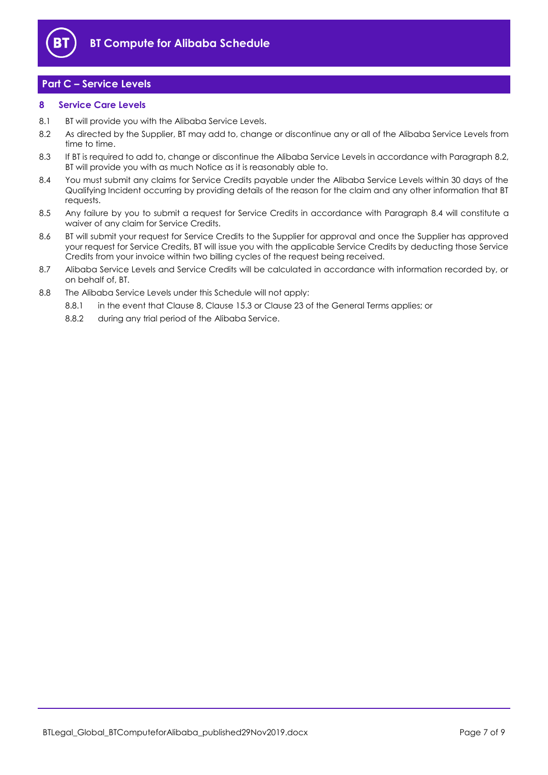

## <span id="page-6-0"></span>**Part C – Service Levels**

#### <span id="page-6-1"></span>**8 Service Care Levels**

- 8.1 BT will provide you with the Alibaba Service Levels.
- <span id="page-6-2"></span>8.2 As directed by the Supplier, BT may add to, change or discontinue any or all of the Alibaba Service Levels from time to time.
- 8.3 If BT is required to add to, change or discontinue the Alibaba Service Levels in accordance with Paragraph [8.2,](#page-6-2)  BT will provide you with as much Notice as it is reasonably able to.
- <span id="page-6-3"></span>8.4 You must submit any claims for Service Credits payable under the Alibaba Service Levels within 30 days of the Qualifying Incident occurring by providing details of the reason for the claim and any other information that BT requests.
- 8.5 Any failure by you to submit a request for Service Credits in accordance with Paragraph [8.4](#page-6-3) will constitute a waiver of any claim for Service Credits.
- 8.6 BT will submit your request for Service Credits to the Supplier for approval and once the Supplier has approved your request for Service Credits, BT will issue you with the applicable Service Credits by deducting those Service Credits from your invoice within two billing cycles of the request being received.
- 8.7 Alibaba Service Levels and Service Credits will be calculated in accordance with information recorded by, or on behalf of, BT.
- 8.8 The Alibaba Service Levels under this Schedule will not apply:
	- 8.8.1 in the event that Clause 8, Clause 15.3 or Clause 23 of the General Terms applies; or
	- 8.8.2 during any trial period of the Alibaba Service.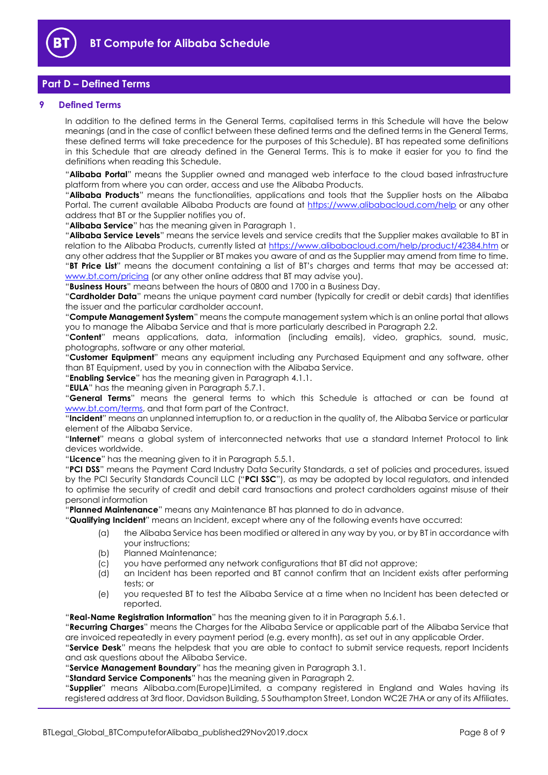

## <span id="page-7-0"></span>**Part D – Defined Terms**

#### <span id="page-7-1"></span>**9 Defined Terms**

In addition to the defined terms in the General Terms, capitalised terms in this Schedule will have the below meanings (and in the case of conflict between these defined terms and the defined terms in the General Terms, these defined terms will take precedence for the purposes of this Schedule). BT has repeated some definitions in this Schedule that are already defined in the General Terms. This is to make it easier for you to find the definitions when reading this Schedule.

"**Alibaba Portal**" means the Supplier owned and managed web interface to the cloud based infrastructure platform from where you can order, access and use the Alibaba Products.

"**Alibaba Products**" means the functionalities, applications and tools that the Supplier hosts on the Alibaba Portal. The current available Alibaba Products are found at<https://www.alibabacloud.com/help> or any other address that BT or the Supplier notifies you of.

"**Alibaba Service**" has the meaning given in Paragraph [1.](#page-1-3)

"**Alibaba Service Levels**" means the service levels and service credits that the Supplier makes available to BT in relation to the Alibaba Products, currently listed at<https://www.alibabacloud.com/help/product/42384.htm> or any other address that the Supplier or BT makes you aware of and as the Supplier may amend from time to time. "**BT Price List**" means the document containing a list of BT's charges and terms that may be accessed at:

[www.bt.com/pricing](http://www.bt.com/pricing) (or any other online address that BT may advise you). "**Business Hours**" means between the hours of 0800 and 1700 in a Business Day.

"**Cardholder Data**" means the unique payment card number (typically for credit or debit cards) that identifies the issuer and the particular cardholder account.

"**Compute Management System**" means the compute management system which is an online portal that allows you to manage the Alibaba Service and that is more particularly described in Paragraph [2.2.](#page-1-8)

"**Content**" means applications, data, information (including emails), video, graphics, sound, music, photographs, software or any other material.

"**Customer Equipment**" means any equipment including any Purchased Equipment and any software, other than BT Equipment, used by you in connection with the Alibaba Service.

"**Enabling Service**" has the meaning given in Paragraph [4.1.1.](#page-1-9)

"**EULA**" has the meaning given in Paragraph [5.7.1.](#page-2-3)

"**General Terms**" means the general terms to which this Schedule is attached or can be found at [www.bt.com/terms,](http://www.bt.com/terms) and that form part of the Contract.

"**Incident**" means an unplanned interruption to, or a reduction in the quality of, the Alibaba Service or particular element of the Alibaba Service.

"**Internet**" means a global system of interconnected networks that use a standard Internet Protocol to link devices worldwide.

"**Licence**" has the meaning given to it in Paragraph [5.5.1.](#page-2-4)

"**PCI DSS**" means the Payment Card Industry Data Security Standards, a set of policies and procedures, issued by the PCI Security Standards Council LLC ("**PCI SSC**"), as may be adopted by local regulators, and intended to optimise the security of credit and debit card transactions and protect cardholders against misuse of their personal information

"**Planned Maintenance**" means any Maintenance BT has planned to do in advance.

"**Qualifying Incident**" means an Incident, except where any of the following events have occurred:

- (a) the Alibaba Service has been modified or altered in any way by you, or by BT in accordance with your instructions;
- (b) Planned Maintenance;
- (c) you have performed any network configurations that BT did not approve;
- (d) an Incident has been reported and BT cannot confirm that an Incident exists after performing tests; or
- (e) you requested BT to test the Alibaba Service at a time when no Incident has been detected or reported.

"**Real-Name Registration Information**" has the meaning given to it in Paragraph [5.6.1.](#page-2-5)

"**Recurring Charges**" means the Charges for the Alibaba Service or applicable part of the Alibaba Service that are invoiced repeatedly in every payment period (e.g. every month), as set out in any applicable Order.

"**Service Desk**" means the helpdesk that you are able to contact to submit service requests, report Incidents and ask questions about the Alibaba Service.

"**Service Management Boundary**" has the meaning given in Paragraph [3.1.](#page-1-10)

"**Standard Service Components**" has the meaning given in Paragraph [2.](#page-1-4)

"**Supplier**" means Alibaba.com(Europe)Limited, a company registered in England and Wales having its registered address at 3rd floor, Davidson Building, 5 Southampton Street, London WC2E 7HA or any of its Affiliates.